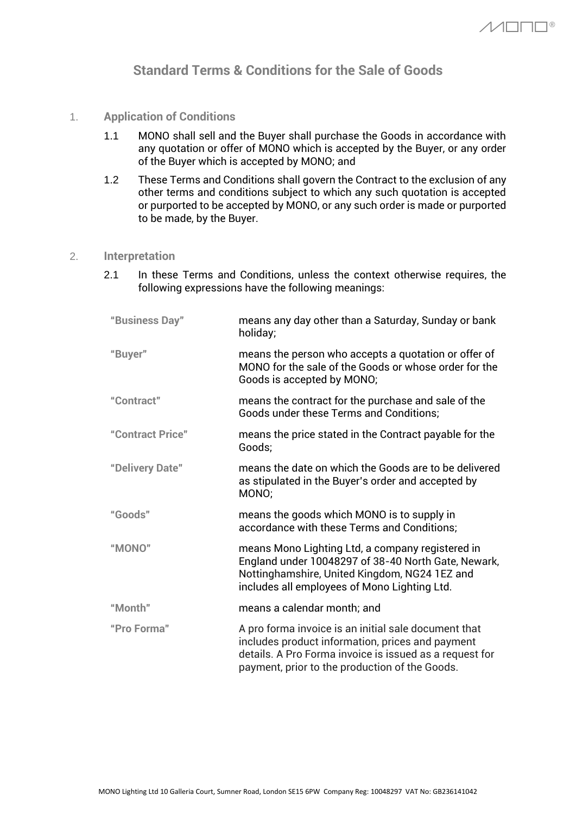# **Standard Terms & Conditions for the Sale of Goods**

- 1. **Application of Conditions**
	- 1.1 MONO shall sell and the Buyer shall purchase the Goods in accordance with any quotation or offer of MONO which is accepted by the Buyer, or any order of the Buyer which is accepted by MONO; and
	- 1.2 These Terms and Conditions shall govern the Contract to the exclusion of any other terms and conditions subject to which any such quotation is accepted or purported to be accepted by MONO, or any such order is made or purported to be made, by the Buyer.

## 2. **Interpretation**

2.1 In these Terms and Conditions, unless the context otherwise requires, the following expressions have the following meanings:

| means any day other than a Saturday, Sunday or bank<br>holiday;                                                                                                                                                       |
|-----------------------------------------------------------------------------------------------------------------------------------------------------------------------------------------------------------------------|
| means the person who accepts a quotation or offer of<br>MONO for the sale of the Goods or whose order for the<br>Goods is accepted by MONO;                                                                           |
| means the contract for the purchase and sale of the<br><b>Goods under these Terms and Conditions;</b>                                                                                                                 |
| means the price stated in the Contract payable for the<br>Goods;                                                                                                                                                      |
| means the date on which the Goods are to be delivered<br>as stipulated in the Buyer's order and accepted by<br>MONO;                                                                                                  |
| means the goods which MONO is to supply in<br>accordance with these Terms and Conditions;                                                                                                                             |
| means Mono Lighting Ltd, a company registered in<br>England under 10048297 of 38-40 North Gate, Newark,<br>Nottinghamshire, United Kingdom, NG24 1EZ and<br>includes all employees of Mono Lighting Ltd.              |
| means a calendar month; and                                                                                                                                                                                           |
| A pro forma invoice is an initial sale document that<br>includes product information, prices and payment<br>details. A Pro Forma invoice is issued as a request for<br>payment, prior to the production of the Goods. |
|                                                                                                                                                                                                                       |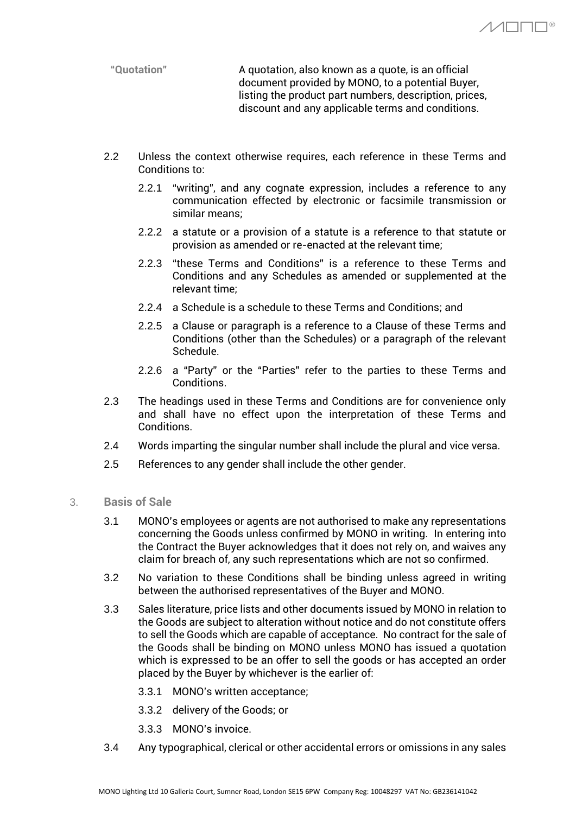**"Quotation"** A quotation, also known as a quote, is an official document provided by MONO, to a potential Buyer, listing the product part numbers, description, prices, discount and any applicable terms and conditions.

 $\wedge$  $\Box$  $\Box$  $\Box$ ®

- 2.2 Unless the context otherwise requires, each reference in these Terms and Conditions to:
	- 2.2.1 "writing", and any cognate expression, includes a reference to any communication effected by electronic or facsimile transmission or similar means;
	- 2.2.2 a statute or a provision of a statute is a reference to that statute or provision as amended or re-enacted at the relevant time;
	- 2.2.3 "these Terms and Conditions" is a reference to these Terms and Conditions and any Schedules as amended or supplemented at the relevant time;
	- 2.2.4 a Schedule is a schedule to these Terms and Conditions; and
	- 2.2.5 a Clause or paragraph is a reference to a Clause of these Terms and Conditions (other than the Schedules) or a paragraph of the relevant Schedule.
	- 2.2.6 a "Party" or the "Parties" refer to the parties to these Terms and Conditions.
- 2.3 The headings used in these Terms and Conditions are for convenience only and shall have no effect upon the interpretation of these Terms and Conditions.
- 2.4 Words imparting the singular number shall include the plural and vice versa.
- 2.5 References to any gender shall include the other gender.
- 3. **Basis of Sale**
	- 3.1 MONO's employees or agents are not authorised to make any representations concerning the Goods unless confirmed by MONO in writing. In entering into the Contract the Buyer acknowledges that it does not rely on, and waives any claim for breach of, any such representations which are not so confirmed.
	- 3.2 No variation to these Conditions shall be binding unless agreed in writing between the authorised representatives of the Buyer and MONO.
	- 3.3 Sales literature, price lists and other documents issued by MONO in relation to the Goods are subject to alteration without notice and do not constitute offers to sell the Goods which are capable of acceptance. No contract for the sale of the Goods shall be binding on MONO unless MONO has issued a quotation which is expressed to be an offer to sell the goods or has accepted an order placed by the Buyer by whichever is the earlier of:
		- 3.3.1 MONO's written acceptance;
		- 3.3.2 delivery of the Goods; or
		- 3.3.3 MONO's invoice.
	- 3.4 Any typographical, clerical or other accidental errors or omissions in any sales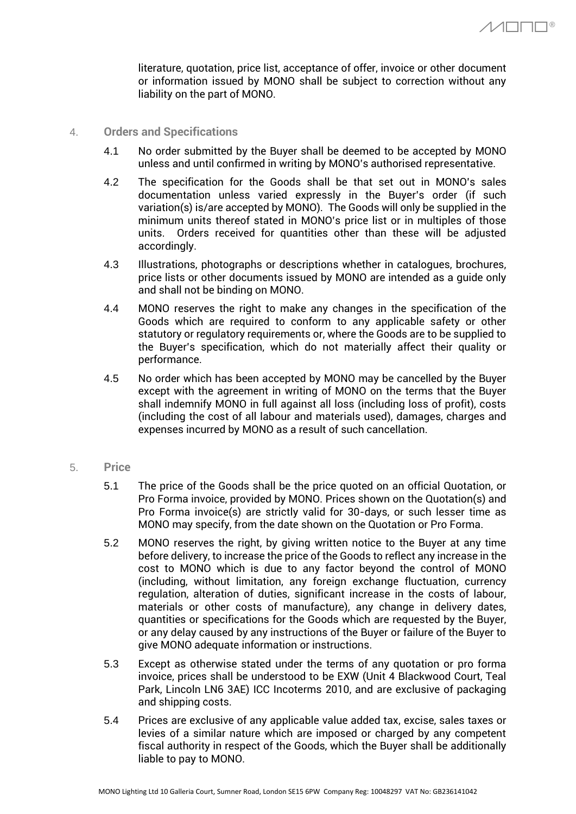$\wedge$  $\wedge$  $\Box$  $\Box$  $\Box$ ®

literature, quotation, price list, acceptance of offer, invoice or other document or information issued by MONO shall be subject to correction without any liability on the part of MONO.

- 4. **Orders and Specifications**
	- 4.1 No order submitted by the Buyer shall be deemed to be accepted by MONO unless and until confirmed in writing by MONO's authorised representative.
	- 4.2 The specification for the Goods shall be that set out in MONO's sales documentation unless varied expressly in the Buyer's order (if such variation(s) is/are accepted by MONO). The Goods will only be supplied in the minimum units thereof stated in MONO's price list or in multiples of those units. Orders received for quantities other than these will be adjusted accordingly.
	- 4.3 Illustrations, photographs or descriptions whether in catalogues, brochures, price lists or other documents issued by MONO are intended as a guide only and shall not be binding on MONO.
	- 4.4 MONO reserves the right to make any changes in the specification of the Goods which are required to conform to any applicable safety or other statutory or regulatory requirements or, where the Goods are to be supplied to the Buyer's specification, which do not materially affect their quality or performance.
	- 4.5 No order which has been accepted by MONO may be cancelled by the Buyer except with the agreement in writing of MONO on the terms that the Buyer shall indemnify MONO in full against all loss (including loss of profit), costs (including the cost of all labour and materials used), damages, charges and expenses incurred by MONO as a result of such cancellation.
- 5. **Price**
	- 5.1 The price of the Goods shall be the price quoted on an official Quotation, or Pro Forma invoice, provided by MONO. Prices shown on the Quotation(s) and Pro Forma invoice(s) are strictly valid for 30-days, or such lesser time as MONO may specify, from the date shown on the Quotation or Pro Forma.
	- 5.2 MONO reserves the right, by giving written notice to the Buyer at any time before delivery, to increase the price of the Goods to reflect any increase in the cost to MONO which is due to any factor beyond the control of MONO (including, without limitation, any foreign exchange fluctuation, currency regulation, alteration of duties, significant increase in the costs of labour, materials or other costs of manufacture), any change in delivery dates, quantities or specifications for the Goods which are requested by the Buyer, or any delay caused by any instructions of the Buyer or failure of the Buyer to give MONO adequate information or instructions.
	- 5.3 Except as otherwise stated under the terms of any quotation or pro forma invoice, prices shall be understood to be EXW (Unit 4 Blackwood Court, Teal Park, Lincoln LN6 3AE) ICC Incoterms 2010, and are exclusive of packaging and shipping costs.
	- 5.4 Prices are exclusive of any applicable value added tax, excise, sales taxes or levies of a similar nature which are imposed or charged by any competent fiscal authority in respect of the Goods, which the Buyer shall be additionally liable to pay to MONO.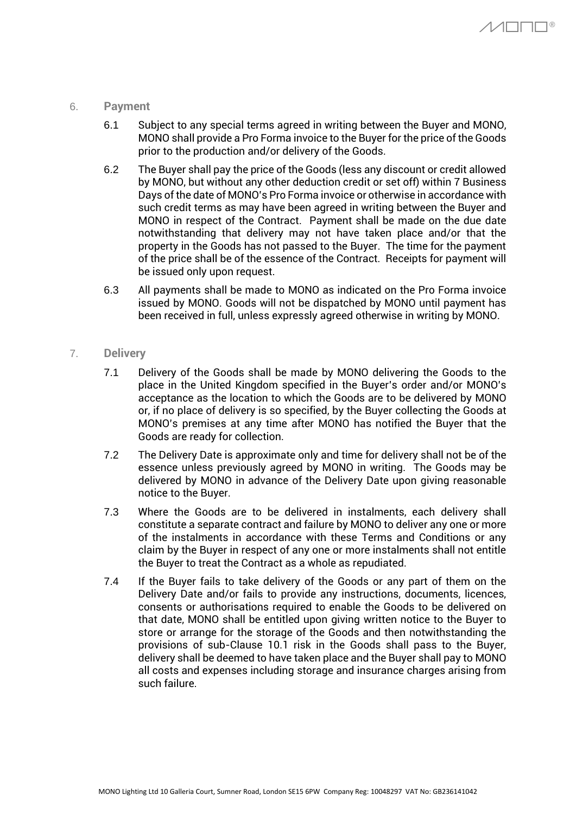## 6. **Payment**

- 6.1 Subject to any special terms agreed in writing between the Buyer and MONO, MONO shall provide a Pro Forma invoice to the Buyer for the price of the Goods prior to the production and/or delivery of the Goods.
- 6.2 The Buyer shall pay the price of the Goods (less any discount or credit allowed by MONO, but without any other deduction credit or set off) within 7 Business Days of the date of MONO's Pro Forma invoice or otherwise in accordance with such credit terms as may have been agreed in writing between the Buyer and MONO in respect of the Contract. Payment shall be made on the due date notwithstanding that delivery may not have taken place and/or that the property in the Goods has not passed to the Buyer. The time for the payment of the price shall be of the essence of the Contract. Receipts for payment will be issued only upon request.
- 6.3 All payments shall be made to MONO as indicated on the Pro Forma invoice issued by MONO. Goods will not be dispatched by MONO until payment has been received in full, unless expressly agreed otherwise in writing by MONO.

# 7. **Delivery**

- 7.1 Delivery of the Goods shall be made by MONO delivering the Goods to the place in the United Kingdom specified in the Buyer's order and/or MONO's acceptance as the location to which the Goods are to be delivered by MONO or, if no place of delivery is so specified, by the Buyer collecting the Goods at MONO's premises at any time after MONO has notified the Buyer that the Goods are ready for collection.
- 7.2 The Delivery Date is approximate only and time for delivery shall not be of the essence unless previously agreed by MONO in writing. The Goods may be delivered by MONO in advance of the Delivery Date upon giving reasonable notice to the Buyer.
- 7.3 Where the Goods are to be delivered in instalments, each delivery shall constitute a separate contract and failure by MONO to deliver any one or more of the instalments in accordance with these Terms and Conditions or any claim by the Buyer in respect of any one or more instalments shall not entitle the Buyer to treat the Contract as a whole as repudiated.
- 7.4 If the Buyer fails to take delivery of the Goods or any part of them on the Delivery Date and/or fails to provide any instructions, documents, licences, consents or authorisations required to enable the Goods to be delivered on that date, MONO shall be entitled upon giving written notice to the Buyer to store or arrange for the storage of the Goods and then notwithstanding the provisions of sub-Clause 10.1 risk in the Goods shall pass to the Buyer, delivery shall be deemed to have taken place and the Buyer shall pay to MONO all costs and expenses including storage and insurance charges arising from such failure.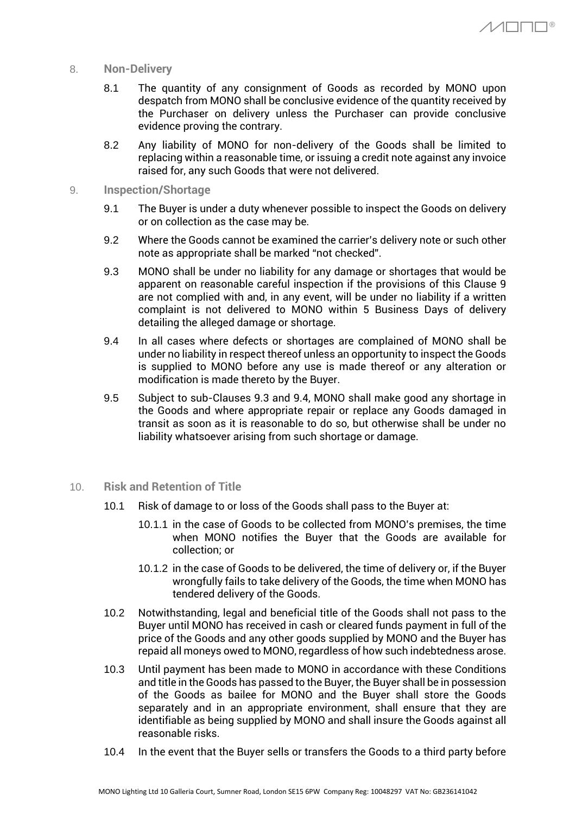- 8. **Non-Delivery**
	- 8.1 The quantity of any consignment of Goods as recorded by MONO upon despatch from MONO shall be conclusive evidence of the quantity received by the Purchaser on delivery unless the Purchaser can provide conclusive evidence proving the contrary.

 $\Lambda$  $\Lambda$  $\Box$  $\Box$  $\Box$ ®

- 8.2 Any liability of MONO for non-delivery of the Goods shall be limited to replacing within a reasonable time, or issuing a credit note against any invoice raised for, any such Goods that were not delivered.
- 9. **Inspection/Shortage**
	- 9.1 The Buyer is under a duty whenever possible to inspect the Goods on delivery or on collection as the case may be.
	- 9.2 Where the Goods cannot be examined the carrier's delivery note or such other note as appropriate shall be marked "not checked".
	- 9.3 MONO shall be under no liability for any damage or shortages that would be apparent on reasonable careful inspection if the provisions of this Clause 9 are not complied with and, in any event, will be under no liability if a written complaint is not delivered to MONO within 5 Business Days of delivery detailing the alleged damage or shortage.
	- 9.4 In all cases where defects or shortages are complained of MONO shall be under no liability in respect thereof unless an opportunity to inspect the Goods is supplied to MONO before any use is made thereof or any alteration or modification is made thereto by the Buyer.
	- 9.5 Subject to sub-Clauses 9.3 and 9.4, MONO shall make good any shortage in the Goods and where appropriate repair or replace any Goods damaged in transit as soon as it is reasonable to do so, but otherwise shall be under no liability whatsoever arising from such shortage or damage.
- 10. **Risk and Retention of Title**
	- 10.1 Risk of damage to or loss of the Goods shall pass to the Buyer at:
		- 10.1.1 in the case of Goods to be collected from MONO's premises, the time when MONO notifies the Buyer that the Goods are available for collection; or
		- 10.1.2 in the case of Goods to be delivered, the time of delivery or, if the Buyer wrongfully fails to take delivery of the Goods, the time when MONO has tendered delivery of the Goods.
	- 10.2 Notwithstanding, legal and beneficial title of the Goods shall not pass to the Buyer until MONO has received in cash or cleared funds payment in full of the price of the Goods and any other goods supplied by MONO and the Buyer has repaid all moneys owed to MONO, regardless of how such indebtedness arose.
	- 10.3 Until payment has been made to MONO in accordance with these Conditions and title in the Goods has passed to the Buyer, the Buyer shall be in possession of the Goods as bailee for MONO and the Buyer shall store the Goods separately and in an appropriate environment, shall ensure that they are identifiable as being supplied by MONO and shall insure the Goods against all reasonable risks.
	- 10.4 In the event that the Buyer sells or transfers the Goods to a third party before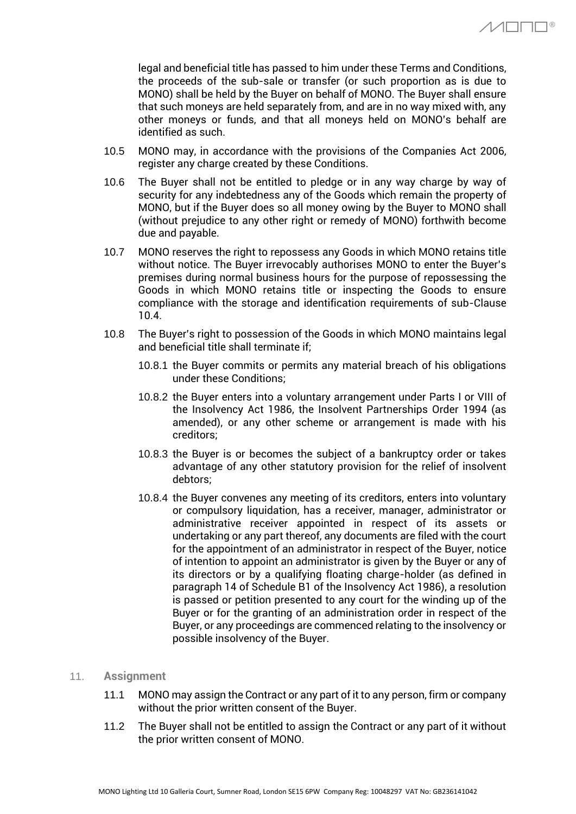legal and beneficial title has passed to him under these Terms and Conditions, the proceeds of the sub-sale or transfer (or such proportion as is due to MONO) shall be held by the Buyer on behalf of MONO. The Buyer shall ensure that such moneys are held separately from, and are in no way mixed with, any other moneys or funds, and that all moneys held on MONO's behalf are identified as such.

- 10.5 MONO may, in accordance with the provisions of the Companies Act 2006, register any charge created by these Conditions.
- 10.6 The Buyer shall not be entitled to pledge or in any way charge by way of security for any indebtedness any of the Goods which remain the property of MONO, but if the Buyer does so all money owing by the Buyer to MONO shall (without prejudice to any other right or remedy of MONO) forthwith become due and payable.
- 10.7 MONO reserves the right to repossess any Goods in which MONO retains title without notice. The Buyer irrevocably authorises MONO to enter the Buyer's premises during normal business hours for the purpose of repossessing the Goods in which MONO retains title or inspecting the Goods to ensure compliance with the storage and identification requirements of sub-Clause 10.4.
- 10.8 The Buyer's right to possession of the Goods in which MONO maintains legal and beneficial title shall terminate if;
	- 10.8.1 the Buyer commits or permits any material breach of his obligations under these Conditions;
	- 10.8.2 the Buyer enters into a voluntary arrangement under Parts I or VIII of the Insolvency Act 1986, the Insolvent Partnerships Order 1994 (as amended), or any other scheme or arrangement is made with his creditors;
	- 10.8.3 the Buyer is or becomes the subject of a bankruptcy order or takes advantage of any other statutory provision for the relief of insolvent debtors;
	- 10.8.4 the Buyer convenes any meeting of its creditors, enters into voluntary or compulsory liquidation, has a receiver, manager, administrator or administrative receiver appointed in respect of its assets or undertaking or any part thereof, any documents are filed with the court for the appointment of an administrator in respect of the Buyer, notice of intention to appoint an administrator is given by the Buyer or any of its directors or by a qualifying floating charge-holder (as defined in paragraph 14 of Schedule B1 of the Insolvency Act 1986), a resolution is passed or petition presented to any court for the winding up of the Buyer or for the granting of an administration order in respect of the Buyer, or any proceedings are commenced relating to the insolvency or possible insolvency of the Buyer.

## 11. **Assignment**

- 11.1 MONO may assign the Contract or any part of it to any person, firm or company without the prior written consent of the Buyer.
- 11.2 The Buyer shall not be entitled to assign the Contract or any part of it without the prior written consent of MONO.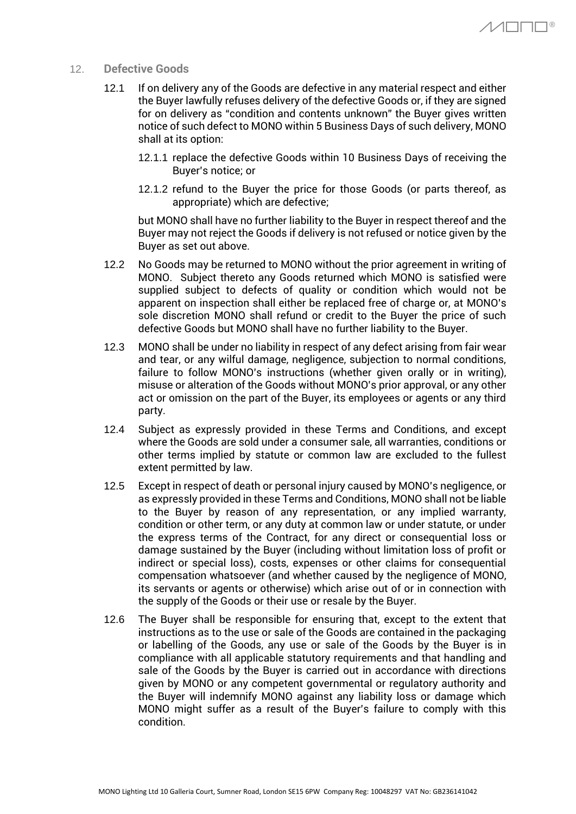- 12. **Defective Goods**
	- 12.1 If on delivery any of the Goods are defective in any material respect and either the Buyer lawfully refuses delivery of the defective Goods or, if they are signed for on delivery as "condition and contents unknown" the Buyer gives written notice of such defect to MONO within 5 Business Days of such delivery, MONO shall at its option:
		- 12.1.1 replace the defective Goods within 10 Business Days of receiving the Buyer's notice; or
		- 12.1.2 refund to the Buyer the price for those Goods (or parts thereof, as appropriate) which are defective;

but MONO shall have no further liability to the Buyer in respect thereof and the Buyer may not reject the Goods if delivery is not refused or notice given by the Buyer as set out above.

- 12.2 No Goods may be returned to MONO without the prior agreement in writing of MONO. Subject thereto any Goods returned which MONO is satisfied were supplied subject to defects of quality or condition which would not be apparent on inspection shall either be replaced free of charge or, at MONO's sole discretion MONO shall refund or credit to the Buyer the price of such defective Goods but MONO shall have no further liability to the Buyer.
- 12.3 MONO shall be under no liability in respect of any defect arising from fair wear and tear, or any wilful damage, negligence, subjection to normal conditions, failure to follow MONO's instructions (whether given orally or in writing), misuse or alteration of the Goods without MONO's prior approval, or any other act or omission on the part of the Buyer, its employees or agents or any third party.
- 12.4 Subject as expressly provided in these Terms and Conditions, and except where the Goods are sold under a consumer sale, all warranties, conditions or other terms implied by statute or common law are excluded to the fullest extent permitted by law.
- 12.5 Except in respect of death or personal injury caused by MONO's negligence, or as expressly provided in these Terms and Conditions, MONO shall not be liable to the Buyer by reason of any representation, or any implied warranty, condition or other term, or any duty at common law or under statute, or under the express terms of the Contract, for any direct or consequential loss or damage sustained by the Buyer (including without limitation loss of profit or indirect or special loss), costs, expenses or other claims for consequential compensation whatsoever (and whether caused by the negligence of MONO, its servants or agents or otherwise) which arise out of or in connection with the supply of the Goods or their use or resale by the Buyer.
- 12.6 The Buyer shall be responsible for ensuring that, except to the extent that instructions as to the use or sale of the Goods are contained in the packaging or labelling of the Goods, any use or sale of the Goods by the Buyer is in compliance with all applicable statutory requirements and that handling and sale of the Goods by the Buyer is carried out in accordance with directions given by MONO or any competent governmental or regulatory authority and the Buyer will indemnify MONO against any liability loss or damage which MONO might suffer as a result of the Buyer's failure to comply with this condition.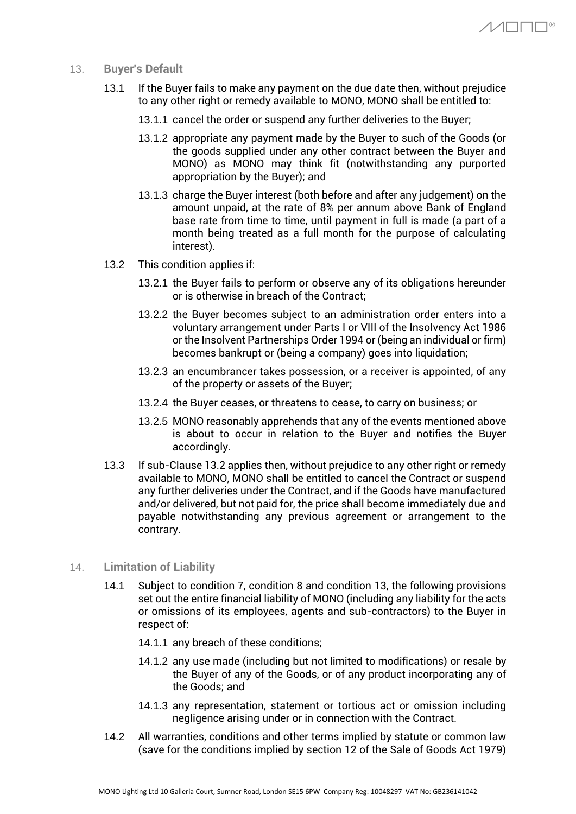- 13. **Buyer's Default**
	- 13.1 If the Buyer fails to make any payment on the due date then, without prejudice to any other right or remedy available to MONO, MONO shall be entitled to:
		- 13.1.1 cancel the order or suspend any further deliveries to the Buyer;
		- 13.1.2 appropriate any payment made by the Buyer to such of the Goods (or the goods supplied under any other contract between the Buyer and MONO) as MONO may think fit (notwithstanding any purported appropriation by the Buyer); and

 $\Lambda$  $\Lambda$  $\Box$  $\Box$  $\Box$ ®

- 13.1.3 charge the Buyer interest (both before and after any judgement) on the amount unpaid, at the rate of 8% per annum above Bank of England base rate from time to time, until payment in full is made (a part of a month being treated as a full month for the purpose of calculating interest).
- 13.2 This condition applies if:
	- 13.2.1 the Buyer fails to perform or observe any of its obligations hereunder or is otherwise in breach of the Contract;
	- 13.2.2 the Buyer becomes subject to an administration order enters into a voluntary arrangement under Parts I or VIII of the Insolvency Act 1986 or the Insolvent Partnerships Order 1994 or (being an individual or firm) becomes bankrupt or (being a company) goes into liquidation;
	- 13.2.3 an encumbrancer takes possession, or a receiver is appointed, of any of the property or assets of the Buyer;
	- 13.2.4 the Buyer ceases, or threatens to cease, to carry on business; or
	- 13.2.5 MONO reasonably apprehends that any of the events mentioned above is about to occur in relation to the Buyer and notifies the Buyer accordingly.
- 13.3 If sub-Clause 13.2 applies then, without prejudice to any other right or remedy available to MONO, MONO shall be entitled to cancel the Contract or suspend any further deliveries under the Contract, and if the Goods have manufactured and/or delivered, but not paid for, the price shall become immediately due and payable notwithstanding any previous agreement or arrangement to the contrary.
- 14. **Limitation of Liability**
	- 14.1 Subject to condition 7, condition 8 and condition 13, the following provisions set out the entire financial liability of MONO (including any liability for the acts or omissions of its employees, agents and sub-contractors) to the Buyer in respect of:
		- 14.1.1 any breach of these conditions;
		- 14.1.2 any use made (including but not limited to modifications) or resale by the Buyer of any of the Goods, or of any product incorporating any of the Goods; and
		- 14.1.3 any representation, statement or tortious act or omission including negligence arising under or in connection with the Contract.
	- 14.2 All warranties, conditions and other terms implied by statute or common law (save for the conditions implied by section 12 of the Sale of Goods Act 1979)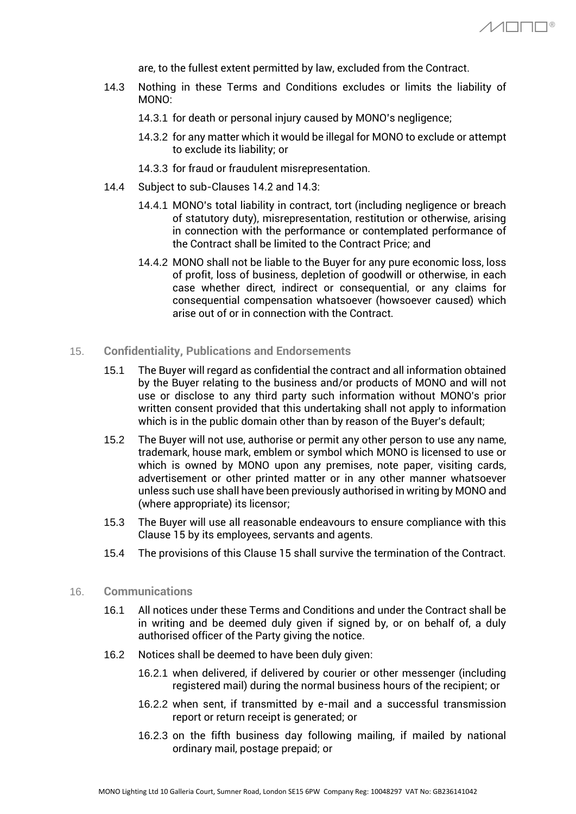are, to the fullest extent permitted by law, excluded from the Contract.

- 14.3 Nothing in these Terms and Conditions excludes or limits the liability of MONO:
	- 14.3.1 for death or personal injury caused by MONO's negligence;
	- 14.3.2 for any matter which it would be illegal for MONO to exclude or attempt to exclude its liability; or
	- 14.3.3 for fraud or fraudulent misrepresentation.
- 14.4 Subject to sub-Clauses 14.2 and 14.3:
	- 14.4.1 MONO's total liability in contract, tort (including negligence or breach of statutory duty), misrepresentation, restitution or otherwise, arising in connection with the performance or contemplated performance of the Contract shall be limited to the Contract Price; and
	- 14.4.2 MONO shall not be liable to the Buyer for any pure economic loss, loss of profit, loss of business, depletion of goodwill or otherwise, in each case whether direct, indirect or consequential, or any claims for consequential compensation whatsoever (howsoever caused) which arise out of or in connection with the Contract.

## 15. **Confidentiality, Publications and Endorsements**

- 15.1 The Buyer will regard as confidential the contract and all information obtained by the Buyer relating to the business and/or products of MONO and will not use or disclose to any third party such information without MONO's prior written consent provided that this undertaking shall not apply to information which is in the public domain other than by reason of the Buyer's default;
- 15.2 The Buyer will not use, authorise or permit any other person to use any name, trademark, house mark, emblem or symbol which MONO is licensed to use or which is owned by MONO upon any premises, note paper, visiting cards, advertisement or other printed matter or in any other manner whatsoever unless such use shall have been previously authorised in writing by MONO and (where appropriate) its licensor;
- 15.3 The Buyer will use all reasonable endeavours to ensure compliance with this Clause 15 by its employees, servants and agents.
- 15.4 The provisions of this Clause 15 shall survive the termination of the Contract.
- 16. **Communications**
	- 16.1 All notices under these Terms and Conditions and under the Contract shall be in writing and be deemed duly given if signed by, or on behalf of, a duly authorised officer of the Party giving the notice.
	- 16.2 Notices shall be deemed to have been duly given:
		- 16.2.1 when delivered, if delivered by courier or other messenger (including registered mail) during the normal business hours of the recipient; or
		- 16.2.2 when sent, if transmitted by e-mail and a successful transmission report or return receipt is generated; or
		- 16.2.3 on the fifth business day following mailing, if mailed by national ordinary mail, postage prepaid; or